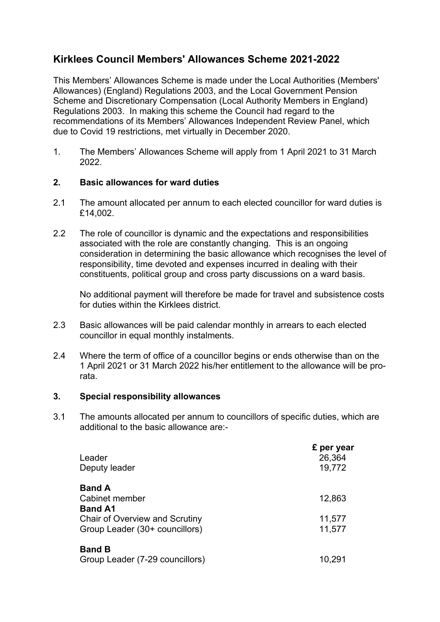# **Kirklees Council Members' Allowances Scheme 2021-2022**

This Members' Allowances Scheme is made under the Local Authorities (Members' Allowances) (England) Regulations 2003, and the Local Government Pension Scheme and Discretionary Compensation (Local Authority Members in England) Regulations 2003. In making this scheme the Council had regard to the recommendations of its Members' Allowances Independent Review Panel, which due to Covid 19 restrictions, met virtually in December 2020.

1. The Members' Allowances Scheme will apply from 1 April 2021 to 31 March 2022.

## **2. Basic allowances for ward duties**

- 2.1 The amount allocated per annum to each elected councillor for ward duties is £14,002.
- 2.2 The role of councillor is dynamic and the expectations and responsibilities associated with the role are constantly changing. This is an ongoing consideration in determining the basic allowance which recognises the level of responsibility, time devoted and expenses incurred in dealing with their constituents, political group and cross party discussions on a ward basis.

 No additional payment will therefore be made for travel and subsistence costs for duties within the Kirklees district.

- 2.3 Basic allowances will be paid calendar monthly in arrears to each elected councillor in equal monthly instalments.
- 2.4 Where the term of office of a councillor begins or ends otherwise than on the 1 April 2021 or 31 March 2022 his/her entitlement to the allowance will be prorata.

## **3. Special responsibility allowances**

3.1 The amounts allocated per annum to councillors of specific duties, which are additional to the basic allowance are:-

| Leader                                | £ per year<br>26,364 |
|---------------------------------------|----------------------|
| Deputy leader                         | 19,772               |
| <b>Band A</b>                         |                      |
| Cabinet member                        | 12,863               |
| <b>Band A1</b>                        |                      |
| <b>Chair of Overview and Scrutiny</b> | 11,577               |
| Group Leader (30+ councillors)        | 11,577               |
| <b>Band B</b>                         |                      |
| Group Leader (7-29 councillors)       | 10,291               |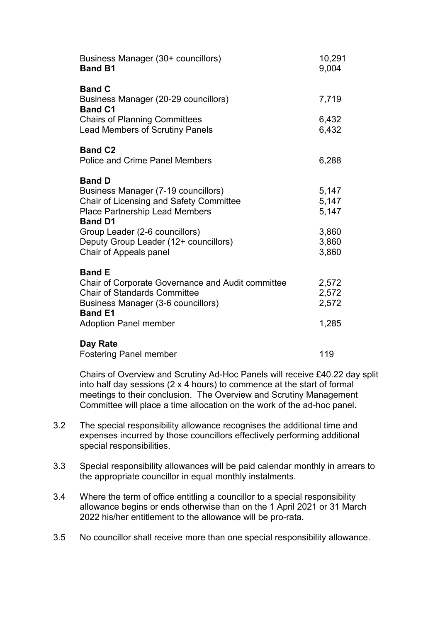| Business Manager (30+ councillors)<br><b>Band B1</b>                                                                                                                     | 10,291<br>9,004         |
|--------------------------------------------------------------------------------------------------------------------------------------------------------------------------|-------------------------|
| <b>Band C</b><br>Business Manager (20-29 councillors)<br><b>Band C1</b>                                                                                                  | 7,719                   |
| <b>Chairs of Planning Committees</b><br><b>Lead Members of Scrutiny Panels</b>                                                                                           | 6,432<br>6,432          |
| <b>Band C2</b><br><b>Police and Crime Panel Members</b>                                                                                                                  | 6,288                   |
| <b>Band D</b><br><b>Business Manager (7-19 councillors)</b><br>Chair of Licensing and Safety Committee<br><b>Place Partnership Lead Members</b><br><b>Band D1</b>        | 5,147<br>5,147<br>5,147 |
| Group Leader (2-6 councillors)<br>Deputy Group Leader (12+ councillors)<br>Chair of Appeals panel                                                                        | 3,860<br>3,860<br>3,860 |
| <b>Band E</b><br><b>Chair of Corporate Governance and Audit committee</b><br><b>Chair of Standards Committee</b><br>Business Manager (3-6 councillors)<br><b>Band E1</b> | 2,572<br>2,572<br>2,572 |
| <b>Adoption Panel member</b>                                                                                                                                             | 1,285                   |
| Day Rate<br><b>Fostering Panel member</b>                                                                                                                                | 119                     |

 Chairs of Overview and Scrutiny Ad-Hoc Panels will receive £40.22 day split into half day sessions (2 x 4 hours) to commence at the start of formal meetings to their conclusion. The Overview and Scrutiny Management Committee will place a time allocation on the work of the ad-hoc panel.

- 3.2 The special responsibility allowance recognises the additional time and expenses incurred by those councillors effectively performing additional special responsibilities.
- 3.3 Special responsibility allowances will be paid calendar monthly in arrears to the appropriate councillor in equal monthly instalments.
- 3.4 Where the term of office entitling a councillor to a special responsibility allowance begins or ends otherwise than on the 1 April 2021 or 31 March 2022 his/her entitlement to the allowance will be pro-rata.
- 3.5 No councillor shall receive more than one special responsibility allowance.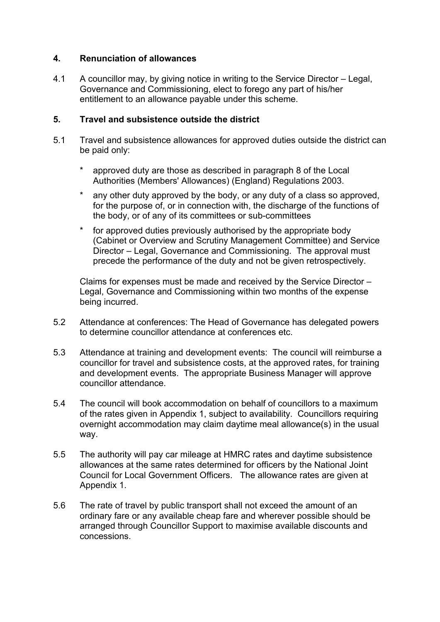## **4. Renunciation of allowances**

4.1 A councillor may, by giving notice in writing to the Service Director – Legal, Governance and Commissioning, elect to forego any part of his/her entitlement to an allowance payable under this scheme.

## **5. Travel and subsistence outside the district**

- 5.1 Travel and subsistence allowances for approved duties outside the district can be paid only:
	- approved duty are those as described in paragraph 8 of the Local Authorities (Members' Allowances) (England) Regulations 2003.
	- any other duty approved by the body, or any duty of a class so approved, for the purpose of, or in connection with, the discharge of the functions of the body, or of any of its committees or sub-committees
	- for approved duties previously authorised by the appropriate body (Cabinet or Overview and Scrutiny Management Committee) and Service Director – Legal, Governance and Commissioning. The approval must precede the performance of the duty and not be given retrospectively.

 Claims for expenses must be made and received by the Service Director – Legal, Governance and Commissioning within two months of the expense being incurred.

- 5.2 Attendance at conferences: The Head of Governance has delegated powers to determine councillor attendance at conferences etc.
- 5.3 Attendance at training and development events: The council will reimburse a councillor for travel and subsistence costs, at the approved rates, for training and development events. The appropriate Business Manager will approve councillor attendance.
- 5.4 The council will book accommodation on behalf of councillors to a maximum of the rates given in Appendix 1, subject to availability. Councillors requiring overnight accommodation may claim daytime meal allowance(s) in the usual way.
- 5.5 The authority will pay car mileage at HMRC rates and daytime subsistence allowances at the same rates determined for officers by the National Joint Council for Local Government Officers. The allowance rates are given at Appendix 1.
- 5.6 The rate of travel by public transport shall not exceed the amount of an ordinary fare or any available cheap fare and wherever possible should be arranged through Councillor Support to maximise available discounts and concessions.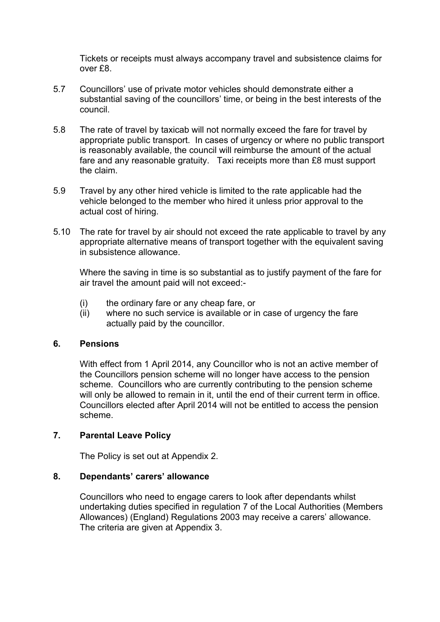Tickets or receipts must always accompany travel and subsistence claims for over £8.

- 5.7 Councillors' use of private motor vehicles should demonstrate either a substantial saving of the councillors' time, or being in the best interests of the council.
- 5.8 The rate of travel by taxicab will not normally exceed the fare for travel by appropriate public transport. In cases of urgency or where no public transport is reasonably available, the council will reimburse the amount of the actual fare and any reasonable gratuity. Taxi receipts more than £8 must support the claim.
- 5.9 Travel by any other hired vehicle is limited to the rate applicable had the vehicle belonged to the member who hired it unless prior approval to the actual cost of hiring.
- 5.10 The rate for travel by air should not exceed the rate applicable to travel by any appropriate alternative means of transport together with the equivalent saving in subsistence allowance.

 Where the saving in time is so substantial as to justify payment of the fare for air travel the amount paid will not exceed:-

- (i) the ordinary fare or any cheap fare, or
- (ii) where no such service is available or in case of urgency the fare actually paid by the councillor.

## **6. Pensions**

 With effect from 1 April 2014, any Councillor who is not an active member of the Councillors pension scheme will no longer have access to the pension scheme. Councillors who are currently contributing to the pension scheme will only be allowed to remain in it, until the end of their current term in office. Councillors elected after April 2014 will not be entitled to access the pension scheme.

## **7. Parental Leave Policy**

The Policy is set out at Appendix 2.

## **8. Dependants' carers' allowance**

 Councillors who need to engage carers to look after dependants whilst undertaking duties specified in regulation 7 of the Local Authorities (Members Allowances) (England) Regulations 2003 may receive a carers' allowance. The criteria are given at Appendix 3.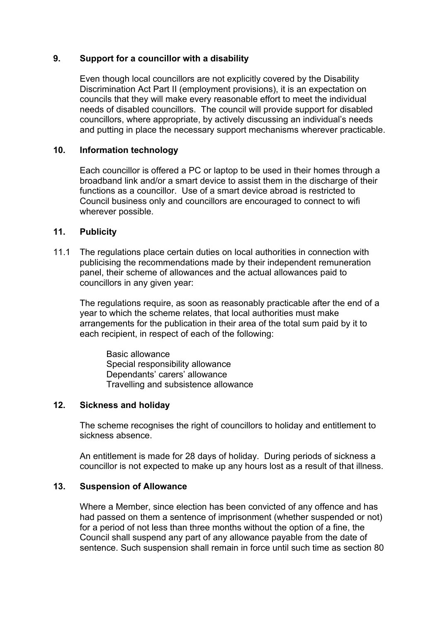## **9. Support for a councillor with a disability**

Even though local councillors are not explicitly covered by the Disability Discrimination Act Part II (employment provisions), it is an expectation on councils that they will make every reasonable effort to meet the individual needs of disabled councillors. The council will provide support for disabled councillors, where appropriate, by actively discussing an individual's needs and putting in place the necessary support mechanisms wherever practicable.

## **10. Information technology**

Each councillor is offered a PC or laptop to be used in their homes through a broadband link and/or a smart device to assist them in the discharge of their functions as a councillor. Use of a smart device abroad is restricted to Council business only and councillors are encouraged to connect to wifi wherever possible.

## **11. Publicity**

11.1 The regulations place certain duties on local authorities in connection with publicising the recommendations made by their independent remuneration panel, their scheme of allowances and the actual allowances paid to councillors in any given year:

 The regulations require, as soon as reasonably practicable after the end of a year to which the scheme relates, that local authorities must make arrangements for the publication in their area of the total sum paid by it to each recipient, in respect of each of the following:

Basic allowance Special responsibility allowance Dependants' carers' allowance Travelling and subsistence allowance

## **12. Sickness and holiday**

 The scheme recognises the right of councillors to holiday and entitlement to sickness absence.

 An entitlement is made for 28 days of holiday. During periods of sickness a councillor is not expected to make up any hours lost as a result of that illness.

### **13. Suspension of Allowance**

Where a Member, since election has been convicted of any offence and has had passed on them a sentence of imprisonment (whether suspended or not) for a period of not less than three months without the option of a fine, the Council shall suspend any part of any allowance payable from the date of sentence. Such suspension shall remain in force until such time as section 80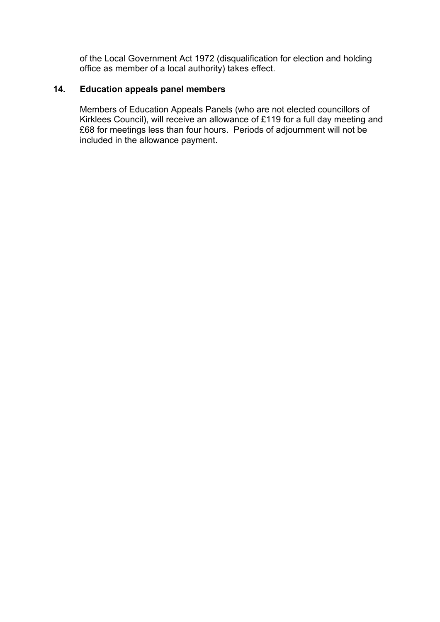of the Local Government Act 1972 (disqualification for election and holding office as member of a local authority) takes effect.

## **14. Education appeals panel members**

Members of Education Appeals Panels (who are not elected councillors of Kirklees Council), will receive an allowance of £119 for a full day meeting and £68 for meetings less than four hours. Periods of adjournment will not be included in the allowance payment.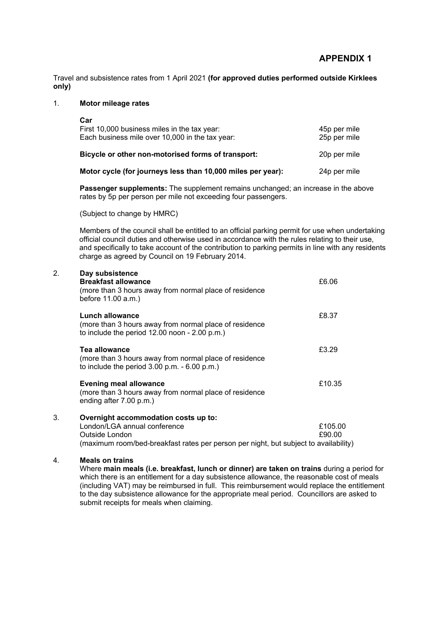Travel and subsistence rates from 1 April 2021 **(for approved duties performed outside Kirklees only)**

### 1. **Motor mileage rates**

| Car<br>First 10,000 business miles in the tax year:<br>Each business mile over 10,000 in the tax year: | 45p per mile<br>25p per mile |
|--------------------------------------------------------------------------------------------------------|------------------------------|
| Bicycle or other non-motorised forms of transport:                                                     | 20p per mile                 |
| Motor cycle (for journeys less than 10,000 miles per year):                                            | 24p per mile                 |

**Passenger supplements:** The supplement remains unchanged; an increase in the above rates by 5p per person per mile not exceeding four passengers.

(Subject to change by HMRC)

Members of the council shall be entitled to an official parking permit for use when undertaking official council duties and otherwise used in accordance with the rules relating to their use, and specifically to take account of the contribution to parking permits in line with any residents charge as agreed by Council on 19 February 2014.

| 2. | Day subsistence<br><b>Breakfast allowance</b><br>(more than 3 hours away from normal place of residence<br>before 11.00 a.m.)                                                  | £6.06             |
|----|--------------------------------------------------------------------------------------------------------------------------------------------------------------------------------|-------------------|
|    | Lunch allowance<br>(more than 3 hours away from normal place of residence<br>to include the period $12.00$ noon - $2.00$ p.m.)                                                 | £8.37             |
|    | Tea allowance<br>(more than 3 hours away from normal place of residence<br>to include the period $3.00$ p.m. $-6.00$ p.m.)                                                     | £3.29             |
|    | <b>Evening meal allowance</b><br>(more than 3 hours away from normal place of residence<br>ending after 7.00 p.m.)                                                             | £10.35            |
| 3. | Overnight accommodation costs up to:<br>London/LGA annual conference<br>Outside London<br>(maximum room/bed-breakfast rates per person per night, but subject to availability) | £105.00<br>£90.00 |

#### 4. **Meals on trains**

 Where **main meals (i.e. breakfast, lunch or dinner) are taken on trains** during a period for which there is an entitlement for a day subsistence allowance, the reasonable cost of meals (including VAT) may be reimbursed in full. This reimbursement would replace the entitlement to the day subsistence allowance for the appropriate meal period. Councillors are asked to submit receipts for meals when claiming.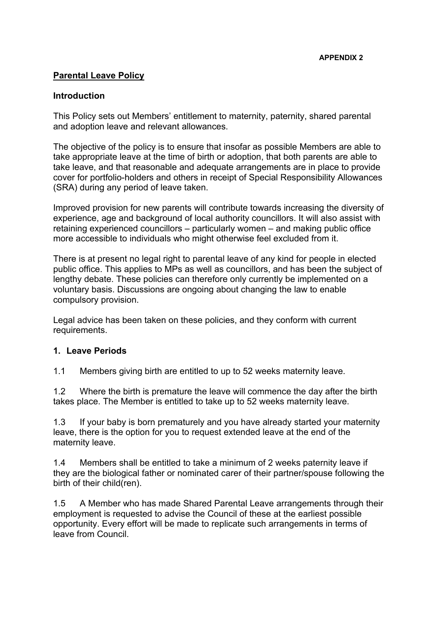## **Parental Leave Policy**

## **Introduction**

This Policy sets out Members' entitlement to maternity, paternity, shared parental and adoption leave and relevant allowances.

The objective of the policy is to ensure that insofar as possible Members are able to take appropriate leave at the time of birth or adoption, that both parents are able to take leave, and that reasonable and adequate arrangements are in place to provide cover for portfolio-holders and others in receipt of Special Responsibility Allowances (SRA) during any period of leave taken.

Improved provision for new parents will contribute towards increasing the diversity of experience, age and background of local authority councillors. It will also assist with retaining experienced councillors – particularly women – and making public office more accessible to individuals who might otherwise feel excluded from it.

There is at present no legal right to parental leave of any kind for people in elected public office. This applies to MPs as well as councillors, and has been the subject of lengthy debate. These policies can therefore only currently be implemented on a voluntary basis. Discussions are ongoing about changing the law to enable compulsory provision.

Legal advice has been taken on these policies, and they conform with current requirements.

## **1. Leave Periods**

1.1 Members giving birth are entitled to up to 52 weeks maternity leave.

1.2 Where the birth is premature the leave will commence the day after the birth takes place. The Member is entitled to take up to 52 weeks maternity leave.

1.3 If your baby is born prematurely and you have already started your maternity leave, there is the option for you to request extended leave at the end of the maternity leave.

1.4 Members shall be entitled to take a minimum of 2 weeks paternity leave if they are the biological father or nominated carer of their partner/spouse following the birth of their child(ren).

1.5 A Member who has made Shared Parental Leave arrangements through their employment is requested to advise the Council of these at the earliest possible opportunity. Every effort will be made to replicate such arrangements in terms of leave from Council.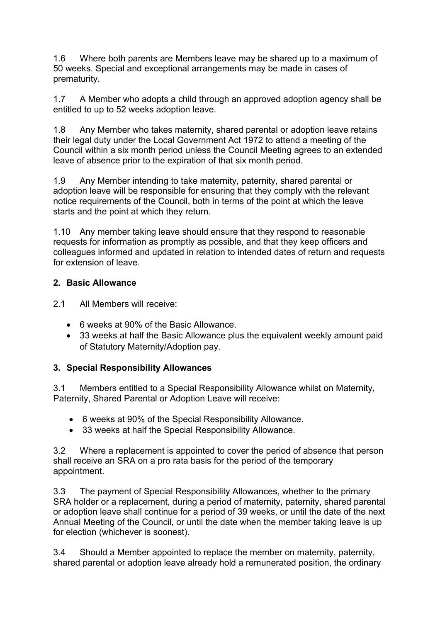1.6 Where both parents are Members leave may be shared up to a maximum of 50 weeks. Special and exceptional arrangements may be made in cases of prematurity.

1.7 A Member who adopts a child through an approved adoption agency shall be entitled to up to 52 weeks adoption leave.

1.8 Any Member who takes maternity, shared parental or adoption leave retains their legal duty under the Local Government Act 1972 to attend a meeting of the Council within a six month period unless the Council Meeting agrees to an extended leave of absence prior to the expiration of that six month period.

1.9 Any Member intending to take maternity, paternity, shared parental or adoption leave will be responsible for ensuring that they comply with the relevant notice requirements of the Council, both in terms of the point at which the leave starts and the point at which they return.

1.10 Any member taking leave should ensure that they respond to reasonable requests for information as promptly as possible, and that they keep officers and colleagues informed and updated in relation to intended dates of return and requests for extension of leave.

## **2. Basic Allowance**

2.1 All Members will receive:

- 6 weeks at 90% of the Basic Allowance.
- 33 weeks at half the Basic Allowance plus the equivalent weekly amount paid of Statutory Maternity/Adoption pay.

## **3. Special Responsibility Allowances**

3.1 Members entitled to a Special Responsibility Allowance whilst on Maternity, Paternity, Shared Parental or Adoption Leave will receive:

- 6 weeks at 90% of the Special Responsibility Allowance.
- 33 weeks at half the Special Responsibility Allowance.

3.2 Where a replacement is appointed to cover the period of absence that person shall receive an SRA on a pro rata basis for the period of the temporary appointment.

3.3 The payment of Special Responsibility Allowances, whether to the primary SRA holder or a replacement, during a period of maternity, paternity, shared parental or adoption leave shall continue for a period of 39 weeks, or until the date of the next Annual Meeting of the Council, or until the date when the member taking leave is up for election (whichever is soonest).

3.4 Should a Member appointed to replace the member on maternity, paternity, shared parental or adoption leave already hold a remunerated position, the ordinary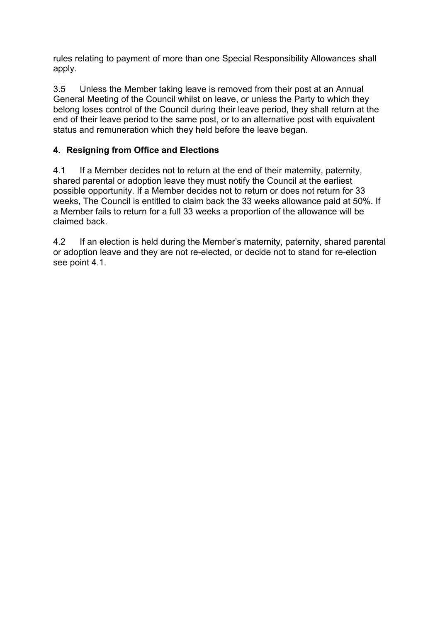rules relating to payment of more than one Special Responsibility Allowances shall apply.

3.5 Unless the Member taking leave is removed from their post at an Annual General Meeting of the Council whilst on leave, or unless the Party to which they belong loses control of the Council during their leave period, they shall return at the end of their leave period to the same post, or to an alternative post with equivalent status and remuneration which they held before the leave began.

# **4. Resigning from Office and Elections**

4.1 If a Member decides not to return at the end of their maternity, paternity, shared parental or adoption leave they must notify the Council at the earliest possible opportunity. If a Member decides not to return or does not return for 33 weeks, The Council is entitled to claim back the 33 weeks allowance paid at 50%. If a Member fails to return for a full 33 weeks a proportion of the allowance will be claimed back.

4.2 If an election is held during the Member's maternity, paternity, shared parental or adoption leave and they are not re-elected, or decide not to stand for re-election see point 4.1.